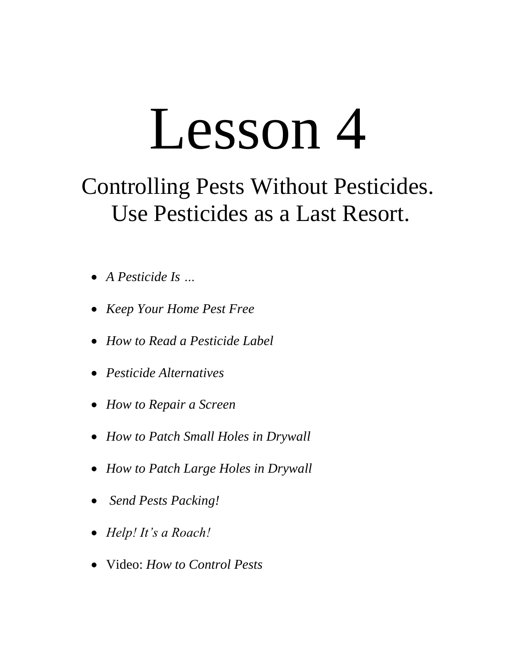# Lesson 4

# Controlling Pests Without Pesticides. Use Pesticides as a Last Resort.

- *A Pesticide Is …*
- *Keep Your Home Pest Free*
- *How to Read a Pesticide Label*
- *Pesticide Alternatives*
- *How to Repair a Screen*
- *How to Patch Small Holes in Drywall*
- *How to Patch Large Holes in Drywall*
- *Send Pests Packing!*
- *Help! It's a Roach!*
- Video: *How to Control Pests*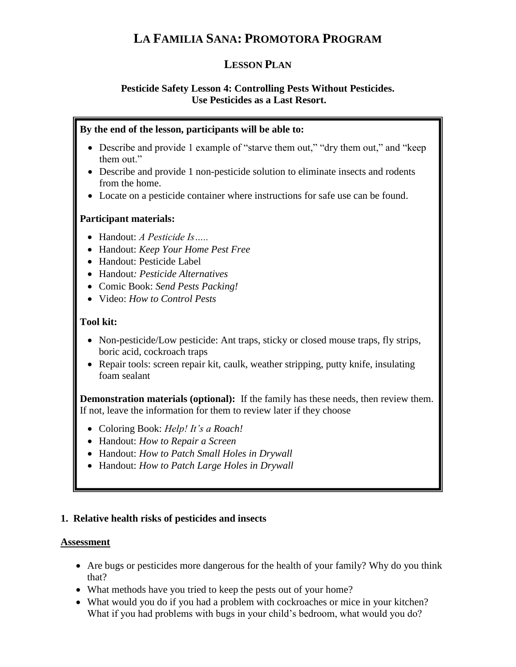# **LA FAMILIA SANA: PROMOTORA PROGRAM**

### **LESSON PLAN**

#### **Pesticide Safety Lesson 4: Controlling Pests Without Pesticides. Use Pesticides as a Last Resort.**

#### **By the end of the lesson, participants will be able to:**

- Describe and provide 1 example of "starve them out," "dry them out," and "keep them out."
- Describe and provide 1 non-pesticide solution to eliminate insects and rodents from the home.
- Locate on a pesticide container where instructions for safe use can be found.

#### **Participant materials:**

- Handout: *A Pesticide Is…..*
- Handout: *Keep Your Home Pest Free*
- Handout: Pesticide Label
- Handout*: Pesticide Alternatives*
- Comic Book: *Send Pests Packing!*
- Video: *How to Control Pests*

#### **Tool kit:**

- Non-pesticide/Low pesticide: Ant traps, sticky or closed mouse traps, fly strips, boric acid, cockroach traps
- Repair tools: screen repair kit, caulk, weather stripping, putty knife, insulating foam sealant

**Demonstration materials (optional):** If the family has these needs, then review them. If not, leave the information for them to review later if they choose

- Coloring Book: *Help! It's a Roach!*
- Handout: *How to Repair a Screen*
- Handout: *How to Patch Small Holes in Drywall*
- Handout: *How to Patch Large Holes in Drywall*

#### **1. Relative health risks of pesticides and insects**

#### **Assessment**

- Are bugs or pesticides more dangerous for the health of your family? Why do you think that?
- What methods have you tried to keep the pests out of your home?
- What would you do if you had a problem with cockroaches or mice in your kitchen? What if you had problems with bugs in your child's bedroom, what would you do?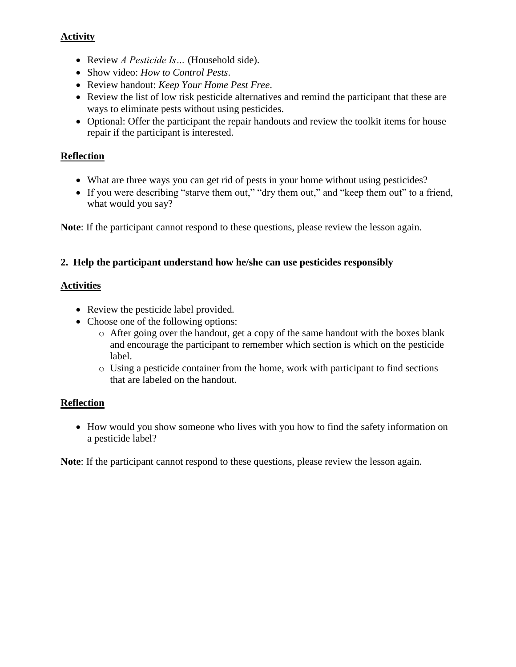#### **Activity**

- Review *A Pesticide Is…* (Household side).
- Show video: *How to Control Pests*.
- Review handout: *Keep Your Home Pest Free*.
- Review the list of low risk pesticide alternatives and remind the participant that these are ways to eliminate pests without using pesticides.
- Optional: Offer the participant the repair handouts and review the toolkit items for house repair if the participant is interested.

#### **Reflection**

- What are three ways you can get rid of pests in your home without using pesticides?
- If you were describing "starve them out," "dry them out," and "keep them out" to a friend, what would you say?

**Note**: If the participant cannot respond to these questions, please review the lesson again.

#### **2. Help the participant understand how he/she can use pesticides responsibly**

#### **Activities**

- Review the pesticide label provided*.*
- Choose one of the following options:
	- o After going over the handout, get a copy of the same handout with the boxes blank and encourage the participant to remember which section is which on the pesticide label.
	- o Using a pesticide container from the home, work with participant to find sections that are labeled on the handout.

#### **Reflection**

• How would you show someone who lives with you how to find the safety information on a pesticide label?

**Note**: If the participant cannot respond to these questions, please review the lesson again.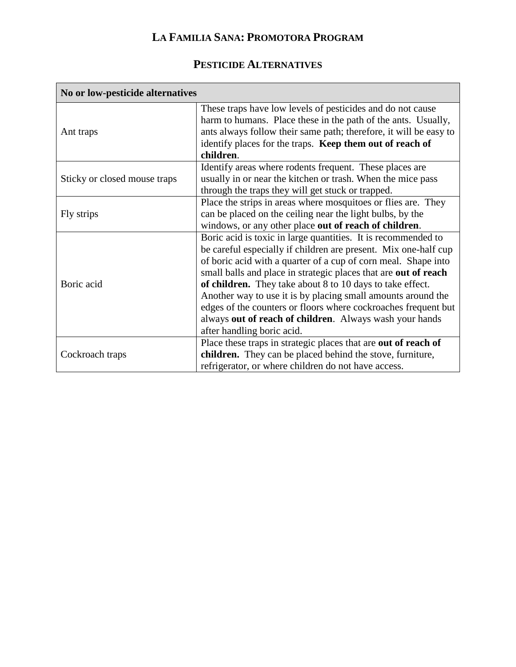# **LA FAMILIA SANA: PROMOTORA PROGRAM**

## **PESTICIDE ALTERNATIVES**

| No or low-pesticide alternatives |                                                                                                                                                                                                                                                                                                                                                                                                                                                                                                                                                               |
|----------------------------------|---------------------------------------------------------------------------------------------------------------------------------------------------------------------------------------------------------------------------------------------------------------------------------------------------------------------------------------------------------------------------------------------------------------------------------------------------------------------------------------------------------------------------------------------------------------|
| Ant traps                        | These traps have low levels of pesticides and do not cause<br>harm to humans. Place these in the path of the ants. Usually,<br>ants always follow their same path; therefore, it will be easy to<br>identify places for the traps. Keep them out of reach of<br>children.                                                                                                                                                                                                                                                                                     |
| Sticky or closed mouse traps     | Identify areas where rodents frequent. These places are<br>usually in or near the kitchen or trash. When the mice pass<br>through the traps they will get stuck or trapped.                                                                                                                                                                                                                                                                                                                                                                                   |
| Fly strips                       | Place the strips in areas where mosquitoes or flies are. They<br>can be placed on the ceiling near the light bulbs, by the<br>windows, or any other place out of reach of children.                                                                                                                                                                                                                                                                                                                                                                           |
| Boric acid                       | Boric acid is toxic in large quantities. It is recommended to<br>be careful especially if children are present. Mix one-half cup<br>of boric acid with a quarter of a cup of corn meal. Shape into<br>small balls and place in strategic places that are out of reach<br>of children. They take about 8 to 10 days to take effect.<br>Another way to use it is by placing small amounts around the<br>edges of the counters or floors where cockroaches frequent but<br>always out of reach of children. Always wash your hands<br>after handling boric acid. |
| Cockroach traps                  | Place these traps in strategic places that are out of reach of<br>children. They can be placed behind the stove, furniture,<br>refrigerator, or where children do not have access.                                                                                                                                                                                                                                                                                                                                                                            |